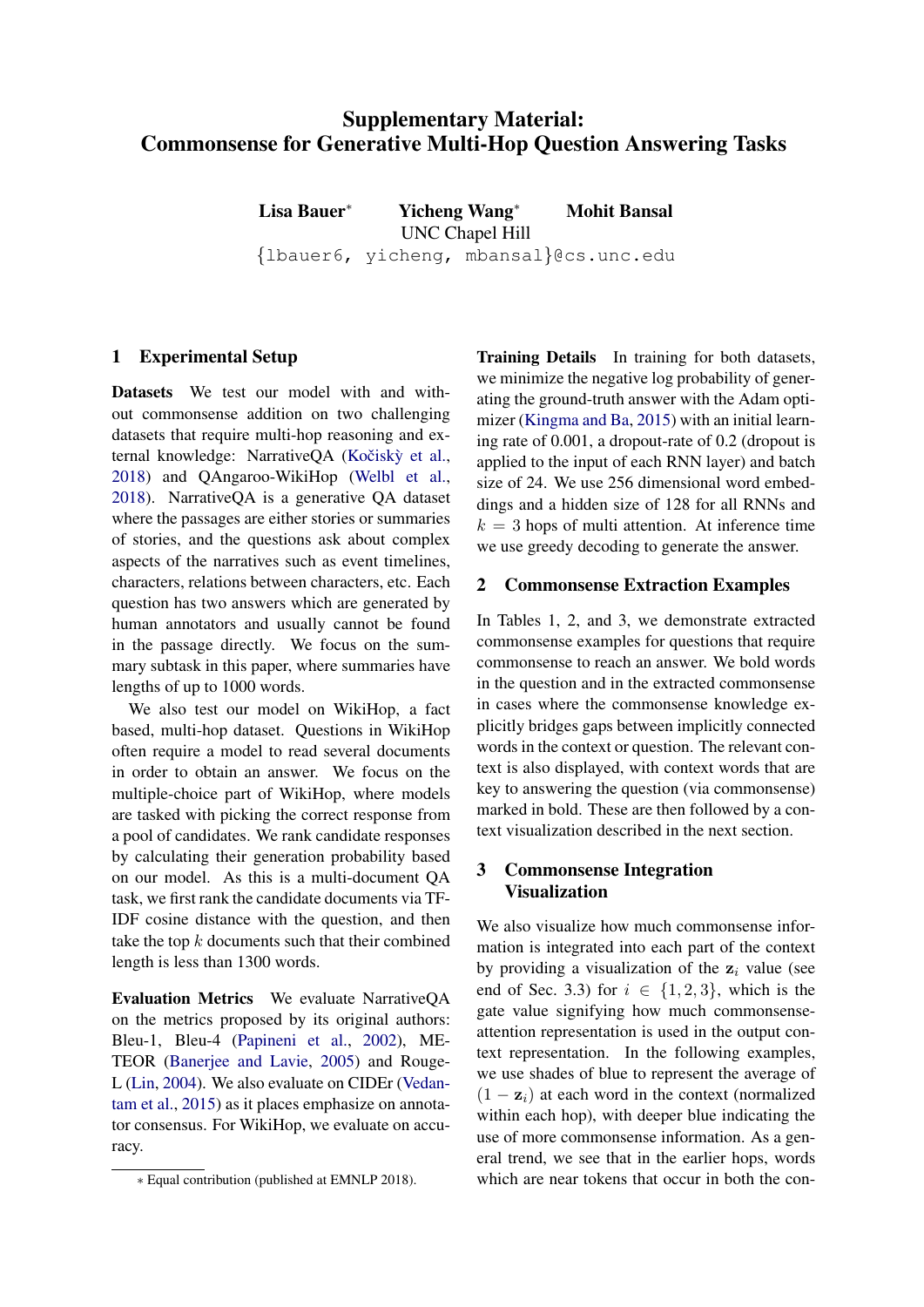# Supplementary Material: Commonsense for Generative Multi-Hop Question Answering Tasks

Lisa Bauer<sup>∗</sup> Yicheng Wang<sup>∗</sup> Mohit Bansal UNC Chapel Hill {lbauer6, yicheng, mbansal}@cs.unc.edu

### 1 Experimental Setup

Datas[e](#page-0-0)ts We test our model with and without commonsense addition on two challenging datasets that require multi-hop reasoning and external knowledge: NarrativeQA (Kočiskỳ et al., [2018\)](#page-11-0) and QAngaroo-WikiHop [\(Welbl et al.,](#page-11-1) [2018\)](#page-11-1). NarrativeQA is a generative QA dataset where the passages are either stories or summaries of stories, and the questions ask about complex aspects of the narratives such as event timelines, characters, relations between characters, etc. Each question has two answers which are generated by human annotators and usually cannot be found in the passage directly. We focus on the summary subtask in this paper, where summaries have lengths of up to 1000 words.

We also test our model on WikiHop, a fact based, multi-hop dataset. Questions in WikiHop often require a model to read several documents in order to obtain an answer. We focus on the multiple-choice part of WikiHop, where models are tasked with picking the correct response from a pool of candidates. We rank candidate responses by calculating their generation probability based on our model. As this is a multi-document QA task, we first rank the candidate documents via TF-IDF cosine distance with the question, and then take the top  $k$  documents such that their combined length is less than 1300 words.

Evaluation Metrics We evaluate NarrativeQA on the metrics proposed by its original authors: Bleu-1, Bleu-4 [\(Papineni et al.,](#page-11-2) [2002\)](#page-11-2), ME-TEOR [\(Banerjee and Lavie,](#page-11-3) [2005\)](#page-11-3) and Rouge-L [\(Lin,](#page-11-4) [2004\)](#page-11-4). We also evaluate on CIDEr [\(Vedan](#page-11-5)[tam et al.,](#page-11-5) [2015\)](#page-11-5) as it places emphasize on annotator consensus. For WikiHop, we evaluate on accuracy.

Training Details In training for both datasets, we minimize the negative log probability of generating the ground-truth answer with the Adam optimizer [\(Kingma and Ba,](#page-11-6) [2015\)](#page-11-6) with an initial learning rate of 0.001, a dropout-rate of 0.2 (dropout is applied to the input of each RNN layer) and batch size of 24. We use 256 dimensional word embeddings and a hidden size of 128 for all RNNs and  $k = 3$  hops of multi attention. At inference time we use greedy decoding to generate the answer.

#### 2 Commonsense Extraction Examples

In Tables 1, 2, and 3, we demonstrate extracted commonsense examples for questions that require commonsense to reach an answer. We bold words in the question and in the extracted commonsense in cases where the commonsense knowledge explicitly bridges gaps between implicitly connected words in the context or question. The relevant context is also displayed, with context words that are key to answering the question (via commonsense) marked in bold. These are then followed by a context visualization described in the next section.

#### 3 Commonsense Integration Visualization

We also visualize how much commonsense information is integrated into each part of the context by providing a visualization of the  $z_i$  value (see end of Sec. 3.3) for  $i \in \{1,2,3\}$ , which is the gate value signifying how much commonsenseattention representation is used in the output context representation. In the following examples, we use shades of blue to represent the average of  $(1 - z_i)$  at each word in the context (normalized within each hop), with deeper blue indicating the use of more commonsense information. As a general trend, we see that in the earlier hops, words which are near tokens that occur in both the con-

<span id="page-0-0"></span><sup>∗</sup> Equal contribution (published at EMNLP 2018).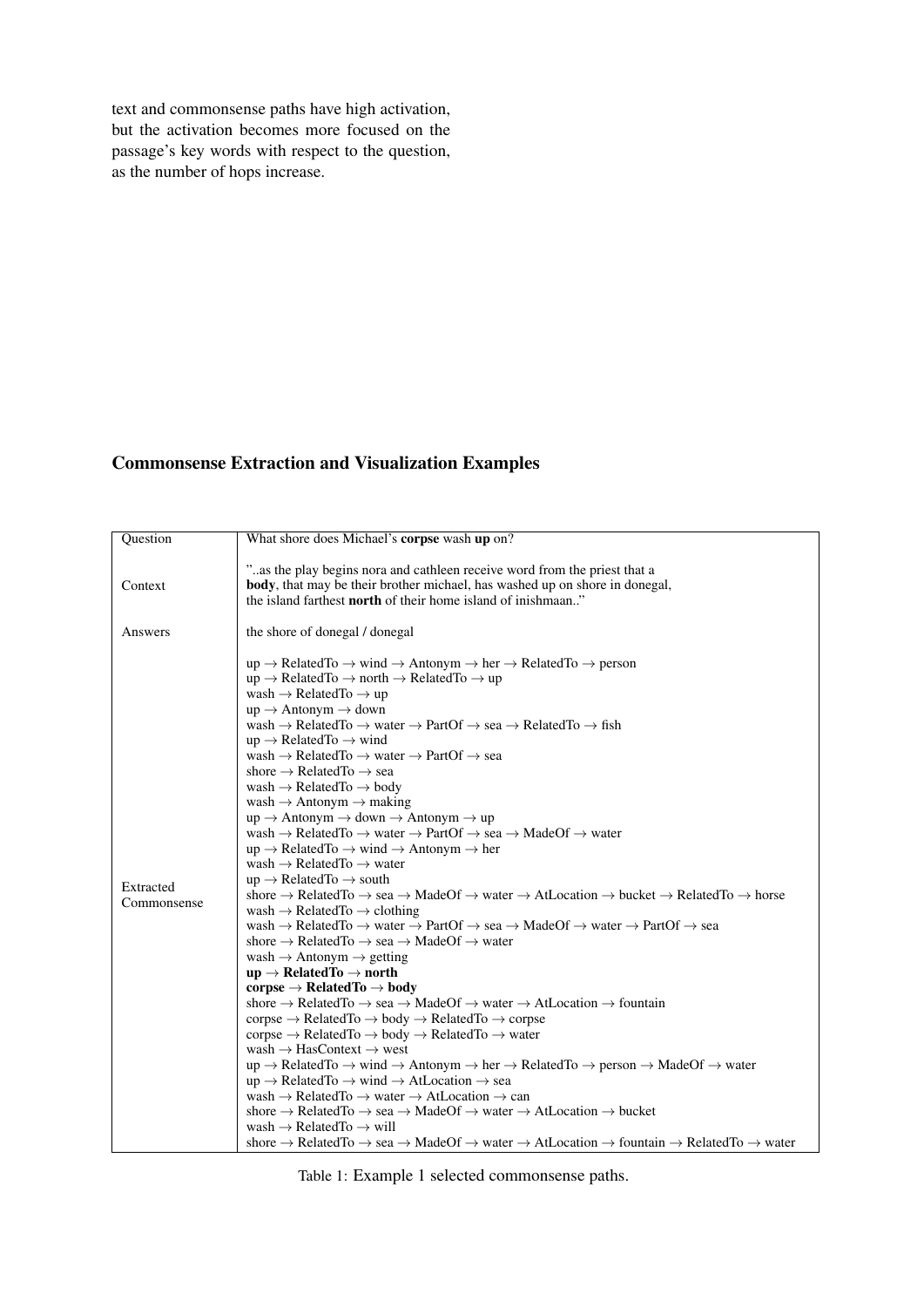text and commonsense paths have high activation, but the activation becomes more focused on the passage's key words with respect to the question, as the number of hops increase.

## Commonsense Extraction and Visualization Examples

| Question                 | What shore does Michael's corpse wash up on?                                                                                                                                                                                                                                                                                                                                                                                                                                                                                                                                                                                                                                                                                                                                                                                                                                                                                                                                                                                                                                                                                                                                                                                                                                                                                                                                                                                                                                                                                                                                                                                                                                                                                                                                                                                                                                                                                                                                                                                                                                                                                                                                                                                                                                                                                                                                                                                                                                                                                                                                                                                                                                                                                                                                                                                                                                                                                                                                                           |
|--------------------------|--------------------------------------------------------------------------------------------------------------------------------------------------------------------------------------------------------------------------------------------------------------------------------------------------------------------------------------------------------------------------------------------------------------------------------------------------------------------------------------------------------------------------------------------------------------------------------------------------------------------------------------------------------------------------------------------------------------------------------------------------------------------------------------------------------------------------------------------------------------------------------------------------------------------------------------------------------------------------------------------------------------------------------------------------------------------------------------------------------------------------------------------------------------------------------------------------------------------------------------------------------------------------------------------------------------------------------------------------------------------------------------------------------------------------------------------------------------------------------------------------------------------------------------------------------------------------------------------------------------------------------------------------------------------------------------------------------------------------------------------------------------------------------------------------------------------------------------------------------------------------------------------------------------------------------------------------------------------------------------------------------------------------------------------------------------------------------------------------------------------------------------------------------------------------------------------------------------------------------------------------------------------------------------------------------------------------------------------------------------------------------------------------------------------------------------------------------------------------------------------------------------------------------------------------------------------------------------------------------------------------------------------------------------------------------------------------------------------------------------------------------------------------------------------------------------------------------------------------------------------------------------------------------------------------------------------------------------------------------------------------------|
| Context                  | "as the play begins nora and cathleen receive word from the priest that a<br>body, that may be their brother michael, has washed up on shore in donegal,<br>the island farthest <b>north</b> of their home island of inishmaan."                                                                                                                                                                                                                                                                                                                                                                                                                                                                                                                                                                                                                                                                                                                                                                                                                                                                                                                                                                                                                                                                                                                                                                                                                                                                                                                                                                                                                                                                                                                                                                                                                                                                                                                                                                                                                                                                                                                                                                                                                                                                                                                                                                                                                                                                                                                                                                                                                                                                                                                                                                                                                                                                                                                                                                       |
| Answers                  | the shore of donegal / donegal                                                                                                                                                                                                                                                                                                                                                                                                                                                                                                                                                                                                                                                                                                                                                                                                                                                                                                                                                                                                                                                                                                                                                                                                                                                                                                                                                                                                                                                                                                                                                                                                                                                                                                                                                                                                                                                                                                                                                                                                                                                                                                                                                                                                                                                                                                                                                                                                                                                                                                                                                                                                                                                                                                                                                                                                                                                                                                                                                                         |
| Extracted<br>Commonsense | $up \rightarrow RelatedTo \rightarrow wind \rightarrow Antonym \rightarrow her \rightarrow RelatedTo \rightarrow person$<br>$up \rightarrow RelatedTo \rightarrow north \rightarrow RelatedTo \rightarrow up$<br>wash $\rightarrow$ Related To $\rightarrow$ up<br>$up \rightarrow$ Antonym $\rightarrow$ down<br>wash $\rightarrow$ RelatedTo $\rightarrow$ water $\rightarrow$ PartOf $\rightarrow$ sea $\rightarrow$ RelatedTo $\rightarrow$ fish<br>$up \rightarrow RelatedTo \rightarrow wind$<br>wash $\rightarrow$ RelatedTo $\rightarrow$ water $\rightarrow$ PartOf $\rightarrow$ sea<br>shore $\rightarrow$ RelatedTo $\rightarrow$ sea<br>wash $\rightarrow$ Related To $\rightarrow$ body<br>wash $\rightarrow$ Antonym $\rightarrow$ making<br>$up \rightarrow$ Antonym $\rightarrow$ down $\rightarrow$ Antonym $\rightarrow$ up<br>wash $\rightarrow$ RelatedTo $\rightarrow$ water $\rightarrow$ PartOf $\rightarrow$ sea $\rightarrow$ MadeOf $\rightarrow$ water<br>$up \rightarrow RelatedTo \rightarrow wind \rightarrow Antonym \rightarrow her$<br>wash $\rightarrow$ RelatedTo $\rightarrow$ water<br>$up \rightarrow RelatedTo \rightarrow south$<br>shore $\rightarrow$ RelatedTo $\rightarrow$ sea $\rightarrow$ MadeOf $\rightarrow$ water $\rightarrow$ AtLocation $\rightarrow$ bucket $\rightarrow$ RelatedTo $\rightarrow$ horse<br>wash $\rightarrow$ RelatedTo $\rightarrow$ clothing<br>wash $\rightarrow$ RelatedTo $\rightarrow$ water $\rightarrow$ PartOf $\rightarrow$ sea $\rightarrow$ MadeOf $\rightarrow$ water $\rightarrow$ PartOf $\rightarrow$ sea<br>shore $\rightarrow$ RelatedTo $\rightarrow$ sea $\rightarrow$ MadeOf $\rightarrow$ water<br>wash $\rightarrow$ Antonym $\rightarrow$ getting<br>$up \rightarrow RelatedTo \rightarrow north$<br>corpse $\rightarrow$ Related To $\rightarrow$ body<br>shore $\rightarrow$ RelatedTo $\rightarrow$ sea $\rightarrow$ MadeOf $\rightarrow$ water $\rightarrow$ AtLocation $\rightarrow$ fountain<br>corpse $\rightarrow$ RelatedTo $\rightarrow$ body $\rightarrow$ RelatedTo $\rightarrow$ corpse<br>corpse $\rightarrow$ RelatedTo $\rightarrow$ body $\rightarrow$ RelatedTo $\rightarrow$ water<br>wash $\rightarrow$ HasContext $\rightarrow$ west<br>$up \rightarrow RelatedTo \rightarrow wind \rightarrow Antonym \rightarrow her \rightarrow RelatedTo \rightarrow person \rightarrow MadeOf \rightarrow water$<br>$up \rightarrow RelatedTo \rightarrow wind \rightarrow AtLocation \rightarrow sea$<br>wash $\rightarrow$ RelatedTo $\rightarrow$ water $\rightarrow$ AtLocation $\rightarrow$ can<br>shore $\rightarrow$ RelatedTo $\rightarrow$ sea $\rightarrow$ MadeOf $\rightarrow$ water $\rightarrow$ AtLocation $\rightarrow$ bucket<br>wash $\rightarrow$ Related To $\rightarrow$ will<br>shore $\rightarrow$ RelatedTo $\rightarrow$ sea $\rightarrow$ MadeOf $\rightarrow$ water $\rightarrow$ AtLocation $\rightarrow$ fountain $\rightarrow$ RelatedTo $\rightarrow$ water |

Table 1: Example 1 selected commonsense paths.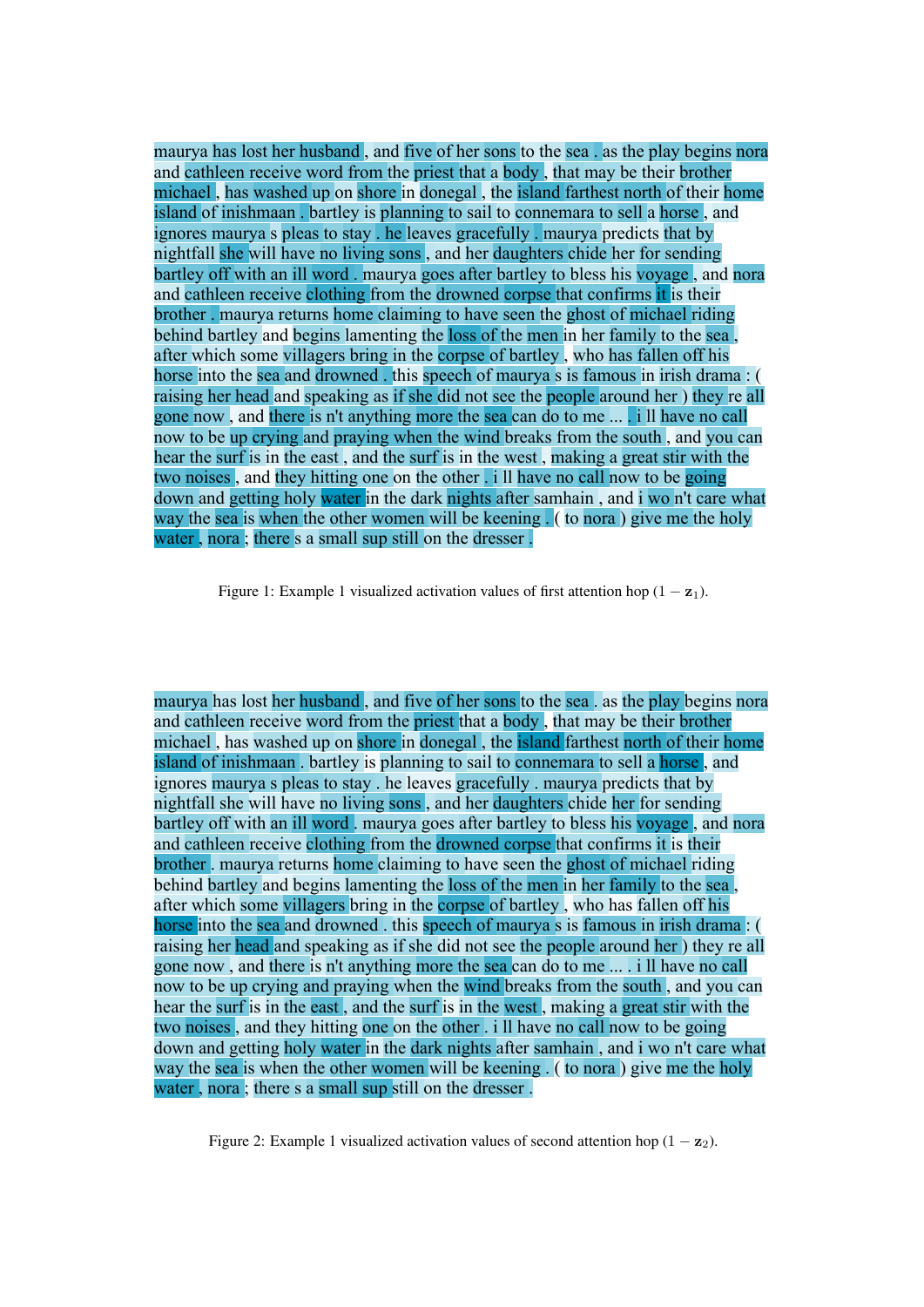maurya has lost her husband , and five of her sons to the sea . as the play begins nora and cathleen receive word from the priest that a body , that may be their brother michael , has washed up on shore in donegal , the island farthest north of their home island of inishmaan . bartley is planning to sail to connemara to sell a horse , and ignores maurya s pleas to stay . he leaves gracefully . maurya predicts that by nightfall she will have no living sons , and her daughters chide her for sending bartley off with an ill word . maurya goes after bartley to bless his voyage , and nora and cathleen receive clothing from the drowned corpse that confirms it is their brother . maurya returns home claiming to have seen the ghost of michael riding behind bartley and begins lamenting the loss of the men in her family to the sea. after which some villagers bring in the corpse of bartley , who has fallen off his horse into the sea and drowned . this speech of maurya s is famous in irish drama : ( raising her head and speaking as if she did not see the people around her ) they re all gone now , and there is n't anything more the sea can do to me ... . i ll have no call now to be up crying and praying when the wind breaks from the south, and you can hear the surf is in the east , and the surf is in the west , making a great stir with the two noises , and they hitting one on the other . i ll have no call now to be going down and getting holy water in the dark nights after samhain , and i wo n't care what way the sea is when the other women will be keening . ( to nora ) give me the holy water , nora ; there s a small sup still on the dresser .

Figure 1: Example 1 visualized activation values of first attention hop  $(1 - z_1)$ .

maurya has lost her husband , and five of her sons to the sea . as the play begins nora and cathleen receive word from the priest that a body , that may be their brother michael , has washed up on shore in donegal , the island farthest north of their home island of inishmaan . bartley is planning to sail to connemara to sell a horse , and ignores maurya s pleas to stay . he leaves gracefully . maurya predicts that by nightfall she will have no living sons , and her daughters chide her for sending bartley off with an ill word, maurya goes after bartley to bless his voyage, and nora and cathleen receive clothing from the drowned corpse that confirms it is their brother . maurya returns home claiming to have seen the ghost of michael riding behind bartley and begins lamenting the loss of the men in her family to the sea , after which some villagers bring in the corpse of bartley , who has fallen off his horse into the sea and drowned . this speech of maurya s is famous in irish drama : ( raising her head and speaking as if she did not see the people around her ) they re all gone now , and there is n't anything more the sea can do to me ... . i ll have no call now to be up crying and praying when the wind breaks from the south , and you can hear the surf is in the east , and the surf is in the west , making a great stir with the two noises , and they hitting one on the other . i ll have no call now to be going down and getting holy water in the dark nights after samhain , and i wo n't care what way the sea is when the other women will be keening . ( to nora ) give me the holy water , nora ; there s a small sup still on the dresser .

Figure 2: Example 1 visualized activation values of second attention hop  $(1 - z_2)$ .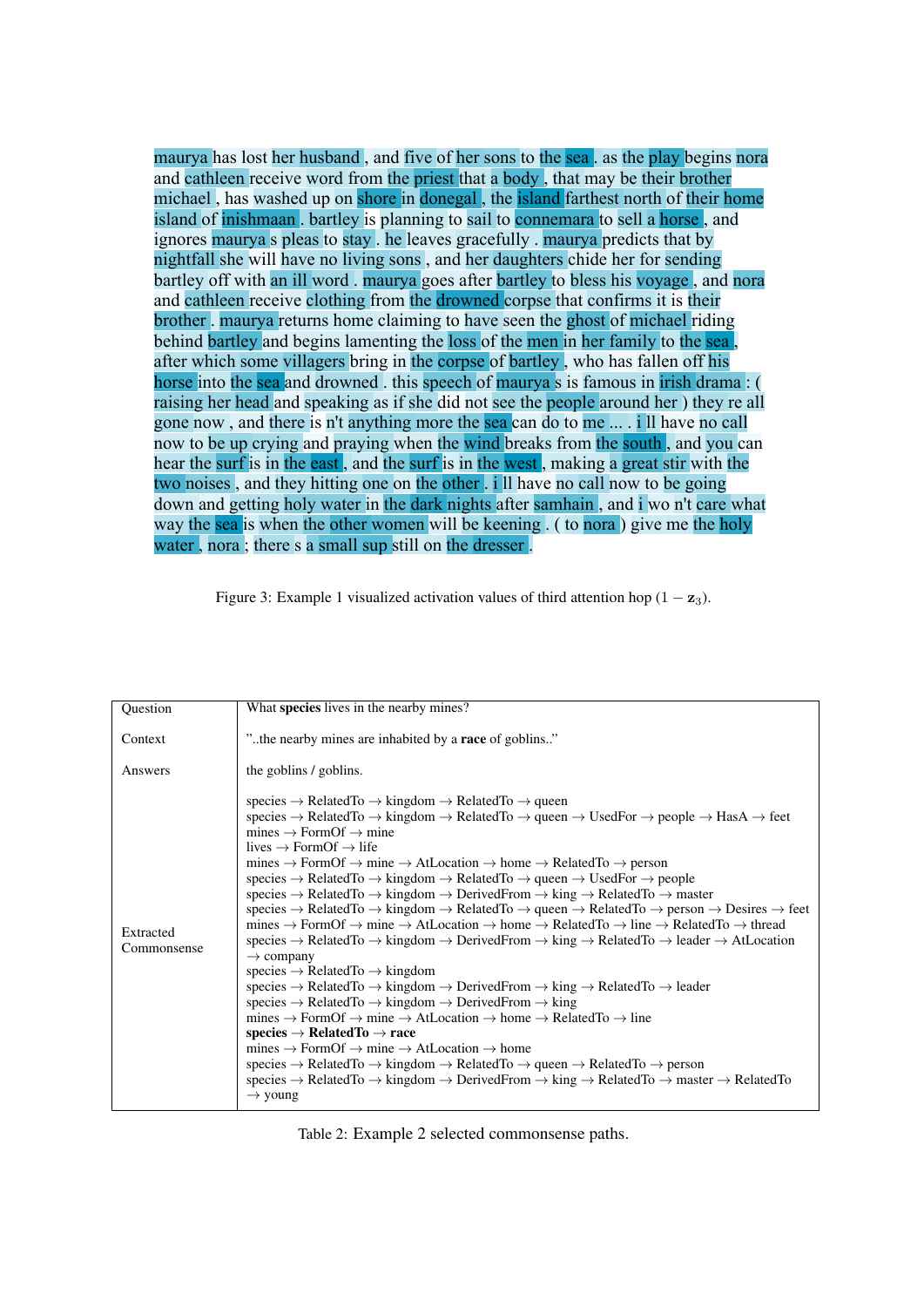maurya has lost her husband, and five of her sons to the sea. as the play begins nora and cathleen receive word from the priest that a body , that may be their brother michael , has washed up on shore in donegal , the island farthest north of their home island of inishmaan . bartley is planning to sail to connemara to sell a horse , and ignores maurya s pleas to stay . he leaves gracefully . maurya predicts that by nightfall she will have no living sons , and her daughters chide her for sending bartley off with an ill word . maurya goes after bartley to bless his voyage , and nora and cathleen receive clothing from the drowned corpse that confirms it is their brother . maurya returns home claiming to have seen the ghost of michael riding behind bartley and begins lamenting the loss of the men in her family to the sea , after which some villagers bring in the corpse of bartley , who has fallen off his horse into the sea and drowned . this speech of maurya s is famous in irish drama : ( raising her head and speaking as if she did not see the people around her ) they re all gone now , and there is n't anything more the sea can do to me ... . i ll have no call now to be up crying and praying when the wind breaks from the south, and you can hear the surf is in the east, and the surf is in the west, making a great stir with the two noises , and they hitting one on the other . i ll have no call now to be going down and getting holy water in the dark nights after samhain , and i wo n't care what way the sea is when the other women will be keening . ( to nora) give me the holy water , nora ; there s a small sup still on the dresser .

Figure 3: Example 1 visualized activation values of third attention hop  $(1 - z_3)$ .

| Question                 | What species lives in the nearby mines?                                                                                                                                                                                                                                                                                                                                                                                                                                                                                                                                                                                                                                                                                                                                                                                                                                                                                                                                                                                                                                                                                                                                                                                                                                                                                                                                                                                                                                                                                                                                                                                                                                                                                                                                                                                                                                                                                                                                                                                                                                                                                                                                                                                                                                                                                                                                                    |
|--------------------------|--------------------------------------------------------------------------------------------------------------------------------------------------------------------------------------------------------------------------------------------------------------------------------------------------------------------------------------------------------------------------------------------------------------------------------------------------------------------------------------------------------------------------------------------------------------------------------------------------------------------------------------------------------------------------------------------------------------------------------------------------------------------------------------------------------------------------------------------------------------------------------------------------------------------------------------------------------------------------------------------------------------------------------------------------------------------------------------------------------------------------------------------------------------------------------------------------------------------------------------------------------------------------------------------------------------------------------------------------------------------------------------------------------------------------------------------------------------------------------------------------------------------------------------------------------------------------------------------------------------------------------------------------------------------------------------------------------------------------------------------------------------------------------------------------------------------------------------------------------------------------------------------------------------------------------------------------------------------------------------------------------------------------------------------------------------------------------------------------------------------------------------------------------------------------------------------------------------------------------------------------------------------------------------------------------------------------------------------------------------------------------------------|
| Context                  | "the nearby mines are inhabited by a <b>race</b> of goblins"                                                                                                                                                                                                                                                                                                                                                                                                                                                                                                                                                                                                                                                                                                                                                                                                                                                                                                                                                                                                                                                                                                                                                                                                                                                                                                                                                                                                                                                                                                                                                                                                                                                                                                                                                                                                                                                                                                                                                                                                                                                                                                                                                                                                                                                                                                                               |
| Answers                  | the goblins / goblins.                                                                                                                                                                                                                                                                                                                                                                                                                                                                                                                                                                                                                                                                                                                                                                                                                                                                                                                                                                                                                                                                                                                                                                                                                                                                                                                                                                                                                                                                                                                                                                                                                                                                                                                                                                                                                                                                                                                                                                                                                                                                                                                                                                                                                                                                                                                                                                     |
| Extracted<br>Commonsense | species $\rightarrow$ RelatedTo $\rightarrow$ kingdom $\rightarrow$ RelatedTo $\rightarrow$ queen<br>species $\rightarrow$ RelatedTo $\rightarrow$ kingdom $\rightarrow$ RelatedTo $\rightarrow$ queen $\rightarrow$ UsedFor $\rightarrow$ people $\rightarrow$ HasA $\rightarrow$ feet<br>mines $\rightarrow$ FormOf $\rightarrow$ mine<br>lives $\rightarrow$ FormOf $\rightarrow$ life<br>mines $\rightarrow$ FormOf $\rightarrow$ mine $\rightarrow$ AtLocation $\rightarrow$ home $\rightarrow$ RelatedTo $\rightarrow$ person<br>species $\rightarrow$ RelatedTo $\rightarrow$ kingdom $\rightarrow$ RelatedTo $\rightarrow$ queen $\rightarrow$ UsedFor $\rightarrow$ people<br>species $\rightarrow$ RelatedTo $\rightarrow$ kingdom $\rightarrow$ DerivedFrom $\rightarrow$ king $\rightarrow$ RelatedTo $\rightarrow$ master<br>species $\rightarrow$ RelatedTo $\rightarrow$ kingdom $\rightarrow$ RelatedTo $\rightarrow$ queen $\rightarrow$ RelatedTo $\rightarrow$ person $\rightarrow$ Desires $\rightarrow$ feet<br>mines $\rightarrow$ FormOf $\rightarrow$ mine $\rightarrow$ AtLocation $\rightarrow$ home $\rightarrow$ RelatedTo $\rightarrow$ line $\rightarrow$ RelatedTo $\rightarrow$ thread<br>species $\rightarrow$ RelatedTo $\rightarrow$ kingdom $\rightarrow$ DerivedFrom $\rightarrow$ king $\rightarrow$ RelatedTo $\rightarrow$ leader $\rightarrow$ AtLocation<br>$\rightarrow$ company<br>species $\rightarrow$ RelatedTo $\rightarrow$ kingdom<br>species $\rightarrow$ RelatedTo $\rightarrow$ kingdom $\rightarrow$ DerivedFrom $\rightarrow$ king $\rightarrow$ RelatedTo $\rightarrow$ leader<br>species $\rightarrow$ RelatedTo $\rightarrow$ kingdom $\rightarrow$ DerivedFrom $\rightarrow$ king<br>mines $\rightarrow$ FormOf $\rightarrow$ mine $\rightarrow$ AtLocation $\rightarrow$ home $\rightarrow$ RelatedTo $\rightarrow$ line<br>$species \rightarrow RelatedTo \rightarrow race$<br>mines $\rightarrow$ FormOf $\rightarrow$ mine $\rightarrow$ AtLocation $\rightarrow$ home<br>species $\rightarrow$ RelatedTo $\rightarrow$ kingdom $\rightarrow$ RelatedTo $\rightarrow$ queen $\rightarrow$ RelatedTo $\rightarrow$ person<br>species $\rightarrow$ RelatedTo $\rightarrow$ kingdom $\rightarrow$ DerivedFrom $\rightarrow$ king $\rightarrow$ RelatedTo $\rightarrow$ master $\rightarrow$ RelatedTo<br>$\rightarrow$ young |

Table 2: Example 2 selected commonsense paths.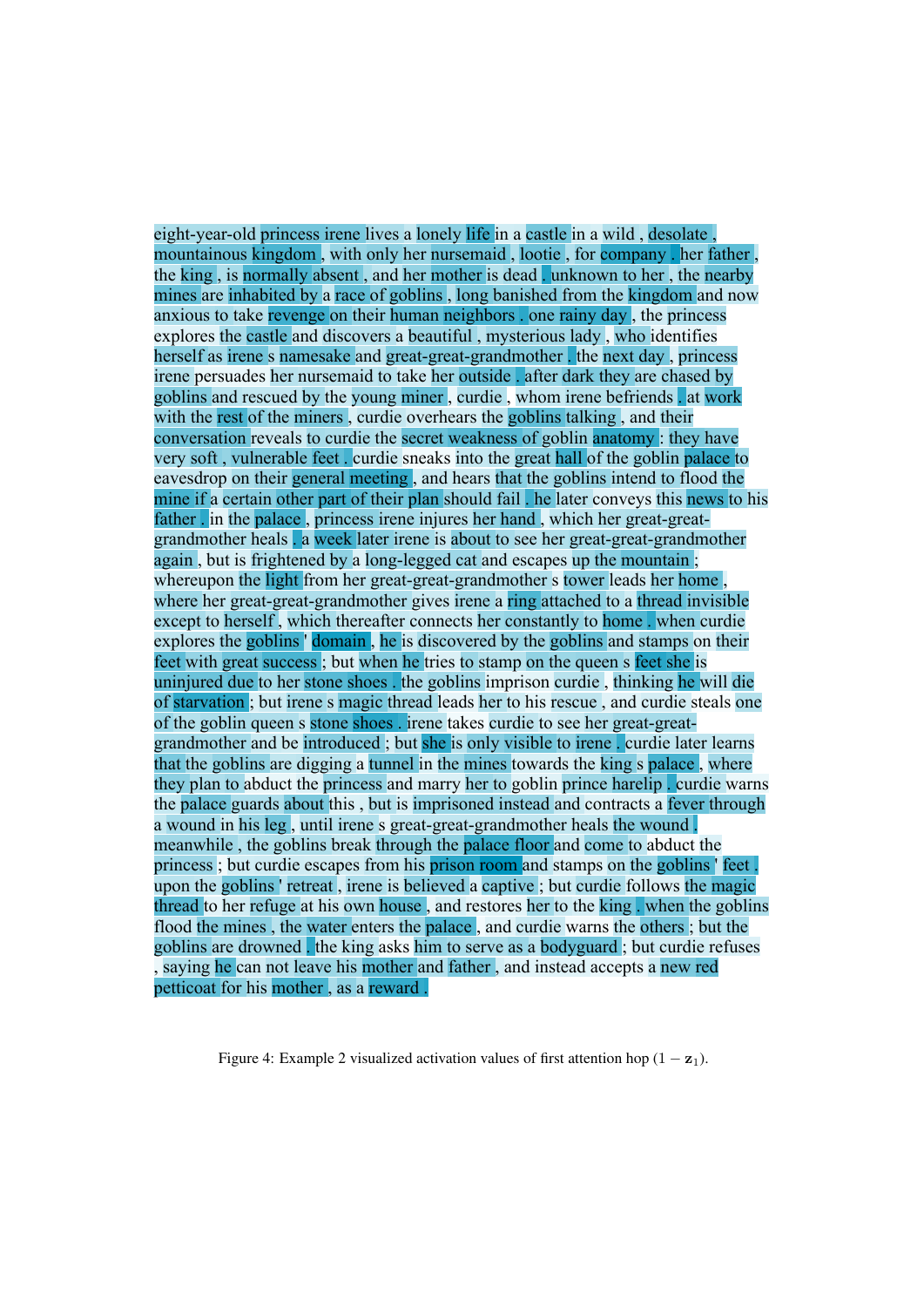eight-year-old princess irene lives a lonely life in a castle in a wild , desolate , mountainous kingdom , with only her nursemaid , lootie , for company . her father , the king , is normally absent , and her mother is dead . unknown to her , the nearby mines are inhabited by a race of goblins , long banished from the kingdom and now anxious to take revenge on their human neighbors . one rainy day , the princess explores the castle and discovers a beautiful , mysterious lady , who identifies herself as irene s namesake and great-great-grandmother . the next day, princess irene persuades her nursemaid to take her outside . after dark they are chased by goblins and rescued by the young miner , curdie , whom irene befriends . at work with the rest of the miners, curdie overhears the goblins talking, and their conversation reveals to curdie the secret weakness of goblin anatomy : they have very soft , vulnerable feet . curdie sneaks into the great hall of the goblin palace to eavesdrop on their general meeting , and hears that the goblins intend to flood the mine if a certain other part of their plan should fail . he later conveys this news to his father . in the palace , princess irene injures her hand , which her great-greatgrandmother heals . a week later irene is about to see her great-great-grandmother again , but is frightened by a long-legged cat and escapes up the mountain ; whereupon the light from her great-great-grandmother s tower leads her home, where her great-great-grandmother gives irene a ring attached to a thread invisible except to herself , which thereafter connects her constantly to home . when curdie explores the goblins ' domain , he is discovered by the goblins and stamps on their feet with great success ; but when he tries to stamp on the queen s feet she is uninjured due to her stone shoes . the goblins imprison curdie , thinking he will die of starvation ; but irene s magic thread leads her to his rescue , and curdie steals one of the goblin queen s stone shoes . irene takes curdie to see her great-greatgrandmother and be introduced ; but she is only visible to irene . curdie later learns that the goblins are digging a tunnel in the mines towards the king s palace , where they plan to abduct the princess and marry her to goblin prince harelip . curdie warns the palace guards about this , but is imprisoned instead and contracts a fever through a wound in his leg , until irene s great-great-grandmother heals the wound . meanwhile , the goblins break through the palace floor and come to abduct the princess; but curdie escapes from his prison room and stamps on the goblins ' feet upon the goblins ' retreat , irene is believed a captive ; but curdie follows the magic thread to her refuge at his own house , and restores her to the king . when the goblins flood the mines , the water enters the palace , and curdie warns the others ; but the goblins are drowned . the king asks him to serve as a bodyguard ; but curdie refuses , saying he can not leave his mother and father , and instead accepts a new red petticoat for his mother , as a reward .

Figure 4: Example 2 visualized activation values of first attention hop  $(1 - z_1)$ .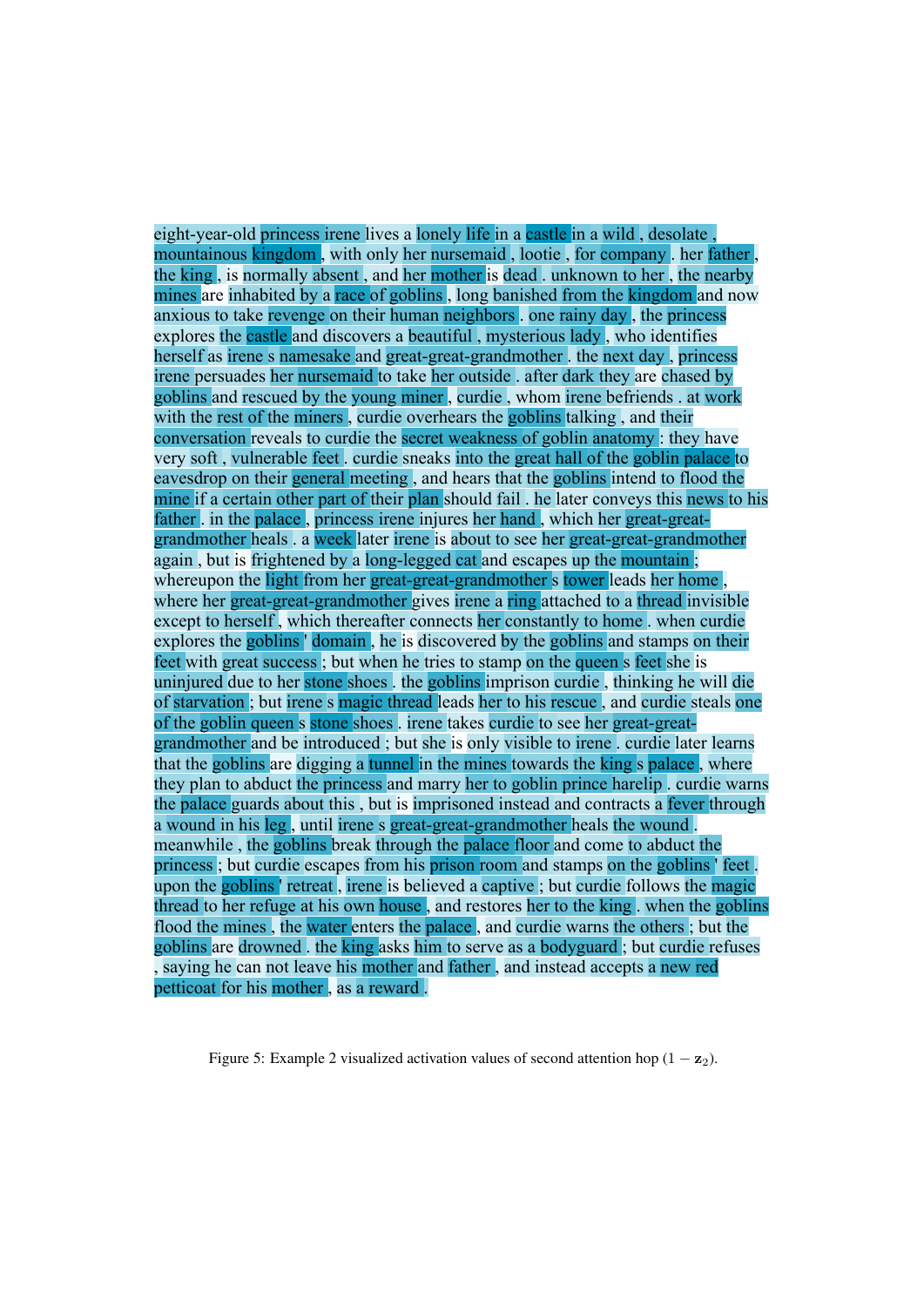eight-year-old princess irene lives a lonely life in a castle in a wild , desolate , mountainous kingdom , with only her nursemaid , lootie , for company . her father , the king , is normally absent , and her mother is dead . unknown to her , the nearby mines are inhabited by a race of goblins, long banished from the kingdom and now anxious to take revenge on their human neighbors . one rainy day , the princess explores the castle and discovers a beautiful , mysterious lady , who identifies herself as irene s namesake and great-great-grandmother . the next day , princess irene persuades her nursemaid to take her outside . after dark they are chased by goblins and rescued by the young miner , curdie , whom irene befriends . at work with the rest of the miners, curdie overhears the goblins talking, and their conversation reveals to curdie the secret weakness of goblin anatomy : they have very soft , vulnerable feet . curdie sneaks into the great hall of the goblin palace to eavesdrop on their general meeting , and hears that the goblins intend to flood the mine if a certain other part of their plan should fail . he later conveys this news to his father . in the palace , princess irene injures her hand , which her great-greatgrandmother heals . a week later irene is about to see her great-great-grandmother again , but is frightened by a long-legged cat and escapes up the mountain ; whereupon the light from her great-great-grandmother s tower leads her home. where her great-great-grandmother gives irene a ring attached to a thread invisible except to herself , which thereafter connects her constantly to home . when curdie explores the goblins ' domain , he is discovered by the goblins and stamps on their feet with great success ; but when he tries to stamp on the queen s feet she is uninjured due to her stone shoes . the goblins imprison curdie , thinking he will die of starvation ; but irene s magic thread leads her to his rescue , and curdie steals one of the goblin queen s stone shoes . irene takes curdie to see her great-greatgrandmother and be introduced ; but she is only visible to irene . curdie later learns that the goblins are digging a tunnel in the mines towards the king s palace , where they plan to abduct the princess and marry her to goblin prince harelip . curdie warns the palace guards about this , but is imprisoned instead and contracts a fever through a wound in his leg , until irene s great-great-grandmother heals the wound . meanwhile , the goblins break through the palace floor and come to abduct the princess ; but curdie escapes from his prison room and stamps on the goblins ' feet . upon the goblins ' retreat , irene is believed a captive ; but curdie follows the magic thread to her refuge at his own house , and restores her to the king . when the goblins flood the mines , the water enters the palace , and curdie warns the others ; but the goblins are drowned . the king asks him to serve as a bodyguard ; but curdie refuses , saying he can not leave his mother and father , and instead accepts a new red petticoat for his mother , as a reward .

Figure 5: Example 2 visualized activation values of second attention hop  $(1 - z_2)$ .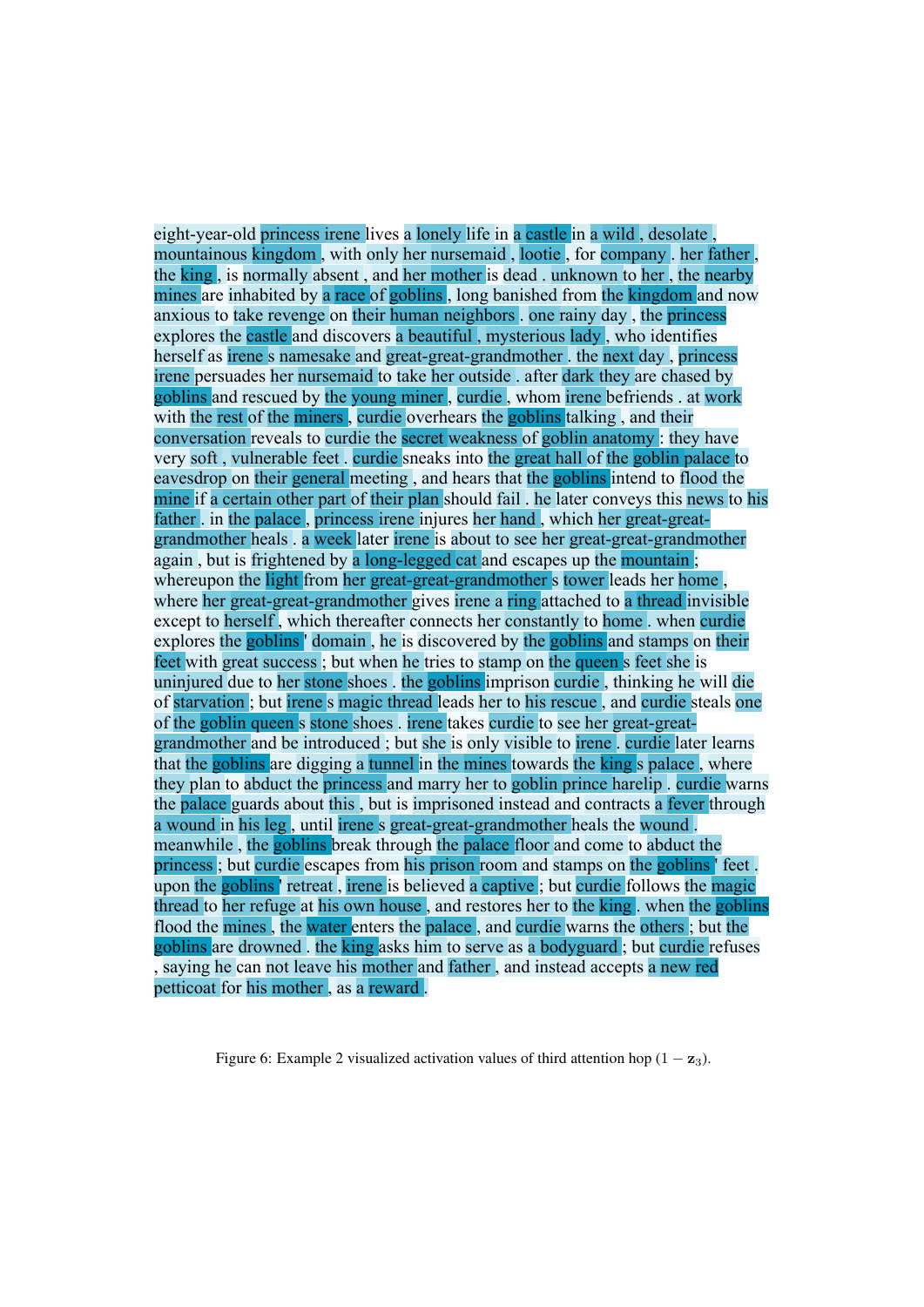eight-year-old princess irene lives a lonely life in a castle in a wild , desolate , mountainous kingdom , with only her nursemaid , lootie , for company . her father , the king , is normally absent , and her mother is dead . unknown to her , the nearby mines are inhabited by a race of goblins, long banished from the kingdom and now anxious to take revenge on their human neighbors . one rainy day , the princess explores the castle and discovers a beautiful , mysterious lady , who identifies herself as irene s namesake and great-great-grandmother . the next day , princess irene persuades her nursemaid to take her outside . after dark they are chased by goblins and rescued by the young miner , curdie , whom irene befriends . at work with the rest of the miners, curdie overhears the goblins talking, and their conversation reveals to curdie the secret weakness of goblin anatomy : they have very soft , vulnerable feet . curdie sneaks into the great hall of the goblin palace to eavesdrop on their general meeting , and hears that the goblins intend to flood the mine if a certain other part of their plan should fail . he later conveys this news to his father . in the palace , princess irene injures her hand , which her great-greatgrandmother heals . a week later irene is about to see her great-great-grandmother again , but is frightened by a long-legged cat and escapes up the mountain ; whereupon the light from her great-great-grandmother s tower leads her home. where her great-great-grandmother gives irene a ring attached to a thread invisible except to herself , which thereafter connects her constantly to home . when curdie explores the goblins ' domain , he is discovered by the goblins and stamps on their feet with great success; but when he tries to stamp on the queen s feet she is uninjured due to her stone shoes . the goblins imprison curdie , thinking he will die of starvation ; but irene s magic thread leads her to his rescue , and curdie steals one of the goblin queen s stone shoes . irene takes curdie to see her great-greatgrandmother and be introduced ; but she is only visible to irene . curdie later learns that the goblins are digging a tunnel in the mines towards the king s palace , where they plan to abduct the princess and marry her to goblin prince harelip . curdie warns the palace guards about this , but is imprisoned instead and contracts a fever through a wound in his leg , until irene s great-great-grandmother heals the wound . meanwhile, the goblins break through the palace floor and come to abduct the princess ; but curdie escapes from his prison room and stamps on the goblins ' feet . upon the goblins ' retreat , irene is believed a captive ; but curdie follows the magic thread to her refuge at his own house , and restores her to the king . when the goblins flood the mines , the water enters the palace , and curdie warns the others ; but the goblins are drowned . the king asks him to serve as a bodyguard ; but curdie refuses , saying he can not leave his mother and father , and instead accepts a new red petticoat for his mother , as a reward .

Figure 6: Example 2 visualized activation values of third attention hop  $(1 - z_3)$ .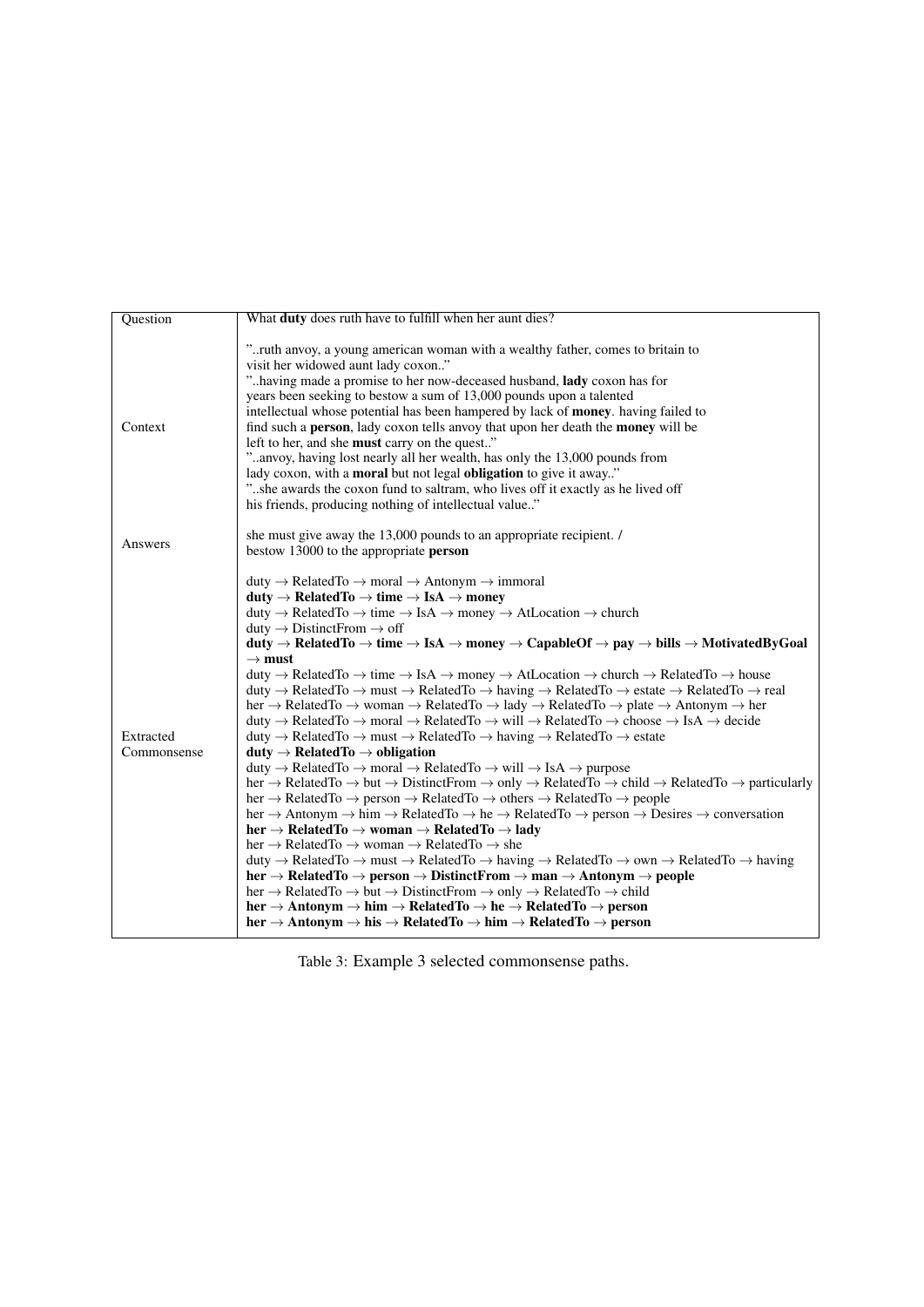| Question                 | What <b>duty</b> does ruth have to fulfill when her aunt dies?                                                                                                                                                                                                                                                                                                                                                                                                                                                                                                                                                                                                                                                                                                                                                                                                                                                                                                                                                                                                                                                                                                                                                                                                                                                                                                                                                                                                                                                                                                                                                                                                                                                                                                                                                                                                                                                                                                                                                                                                                                                                                                                                                                                                                                                                                                                                                                                                                                                                                                                                                                                                                                                                                                                                                                                                                                                                                                                                                                                                                                                                        |
|--------------------------|---------------------------------------------------------------------------------------------------------------------------------------------------------------------------------------------------------------------------------------------------------------------------------------------------------------------------------------------------------------------------------------------------------------------------------------------------------------------------------------------------------------------------------------------------------------------------------------------------------------------------------------------------------------------------------------------------------------------------------------------------------------------------------------------------------------------------------------------------------------------------------------------------------------------------------------------------------------------------------------------------------------------------------------------------------------------------------------------------------------------------------------------------------------------------------------------------------------------------------------------------------------------------------------------------------------------------------------------------------------------------------------------------------------------------------------------------------------------------------------------------------------------------------------------------------------------------------------------------------------------------------------------------------------------------------------------------------------------------------------------------------------------------------------------------------------------------------------------------------------------------------------------------------------------------------------------------------------------------------------------------------------------------------------------------------------------------------------------------------------------------------------------------------------------------------------------------------------------------------------------------------------------------------------------------------------------------------------------------------------------------------------------------------------------------------------------------------------------------------------------------------------------------------------------------------------------------------------------------------------------------------------------------------------------------------------------------------------------------------------------------------------------------------------------------------------------------------------------------------------------------------------------------------------------------------------------------------------------------------------------------------------------------------------------------------------------------------------------------------------------------------------|
| Context                  | " ruth anyoy, a young american woman with a wealthy father, comes to britain to<br>visit her widowed aunt lady coxon"<br>" having made a promise to her now-deceased husband, lady coxon has for<br>years been seeking to bestow a sum of 13,000 pounds upon a talented<br>intellectual whose potential has been hampered by lack of <b>money</b> . having failed to<br>find such a <b>person</b> , lady coxon tells anyoy that upon her death the <b>money</b> will be<br>left to her, and she must carry on the quest"<br>"anvoy, having lost nearly all her wealth, has only the 13,000 pounds from<br>lady coxon, with a <b>moral</b> but not legal <b>obligation</b> to give it away."<br>"she awards the coxon fund to saltram, who lives off it exactly as he lived off<br>his friends, producing nothing of intellectual value."                                                                                                                                                                                                                                                                                                                                                                                                                                                                                                                                                                                                                                                                                                                                                                                                                                                                                                                                                                                                                                                                                                                                                                                                                                                                                                                                                                                                                                                                                                                                                                                                                                                                                                                                                                                                                                                                                                                                                                                                                                                                                                                                                                                                                                                                                              |
| Answers                  | she must give away the 13,000 pounds to an appropriate recipient. /<br>bestow 13000 to the appropriate person                                                                                                                                                                                                                                                                                                                                                                                                                                                                                                                                                                                                                                                                                                                                                                                                                                                                                                                                                                                                                                                                                                                                                                                                                                                                                                                                                                                                                                                                                                                                                                                                                                                                                                                                                                                                                                                                                                                                                                                                                                                                                                                                                                                                                                                                                                                                                                                                                                                                                                                                                                                                                                                                                                                                                                                                                                                                                                                                                                                                                         |
| Extracted<br>Commonsense | duty $\rightarrow$ RelatedTo $\rightarrow$ moral $\rightarrow$ Antonym $\rightarrow$ immoral<br>duty $\rightarrow$ RelatedTo $\rightarrow$ time $\rightarrow$ IsA $\rightarrow$ money<br>duty $\rightarrow$ RelatedTo $\rightarrow$ time $\rightarrow$ IsA $\rightarrow$ money $\rightarrow$ AtLocation $\rightarrow$ church<br>duty $\rightarrow$ DistinctFrom $\rightarrow$ off<br>duty $\rightarrow$ RelatedTo $\rightarrow$ time $\rightarrow$ IsA $\rightarrow$ money $\rightarrow$ CapableOf $\rightarrow$ pay $\rightarrow$ bills $\rightarrow$ MotivatedByGoal<br>$\rightarrow$ must<br>duty $\rightarrow$ RelatedTo $\rightarrow$ time $\rightarrow$ IsA $\rightarrow$ money $\rightarrow$ AtLocation $\rightarrow$ church $\rightarrow$ RelatedTo $\rightarrow$ house<br>duty $\rightarrow$ RelatedTo $\rightarrow$ must $\rightarrow$ RelatedTo $\rightarrow$ having $\rightarrow$ RelatedTo $\rightarrow$ estate $\rightarrow$ RelatedTo $\rightarrow$ real<br>her $\rightarrow$ RelatedTo $\rightarrow$ woman $\rightarrow$ RelatedTo $\rightarrow$ lady $\rightarrow$ RelatedTo $\rightarrow$ plate $\rightarrow$ Antonym $\rightarrow$ her<br>duty $\rightarrow$ RelatedTo $\rightarrow$ moral $\rightarrow$ RelatedTo $\rightarrow$ will $\rightarrow$ RelatedTo $\rightarrow$ choose $\rightarrow$ IsA $\rightarrow$ decide<br>duty $\rightarrow$ RelatedTo $\rightarrow$ must $\rightarrow$ RelatedTo $\rightarrow$ having $\rightarrow$ RelatedTo $\rightarrow$ estate<br>$duty \rightarrow RelatedTo \rightarrow obligation$<br>duty $\rightarrow$ RelatedTo $\rightarrow$ moral $\rightarrow$ RelatedTo $\rightarrow$ will $\rightarrow$ IsA $\rightarrow$ purpose<br>her $\rightarrow$ RelatedTo $\rightarrow$ but $\rightarrow$ DistinctFrom $\rightarrow$ only $\rightarrow$ RelatedTo $\rightarrow$ RelatedTo $\rightarrow$ particularly<br>her $\rightarrow$ RelatedTo $\rightarrow$ person $\rightarrow$ RelatedTo $\rightarrow$ others $\rightarrow$ RelatedTo $\rightarrow$ people<br>her $\rightarrow$ Antonym $\rightarrow$ him $\rightarrow$ RelatedTo $\rightarrow$ he $\rightarrow$ RelatedTo $\rightarrow$ person $\rightarrow$ Desires $\rightarrow$ conversation<br>her $\rightarrow$ RelatedTo $\rightarrow$ woman $\rightarrow$ RelatedTo $\rightarrow$ lady<br>her $\rightarrow$ RelatedTo $\rightarrow$ woman $\rightarrow$ RelatedTo $\rightarrow$ she<br>duty $\rightarrow$ RelatedTo $\rightarrow$ must $\rightarrow$ RelatedTo $\rightarrow$ having $\rightarrow$ RelatedTo $\rightarrow$ own $\rightarrow$ RelatedTo $\rightarrow$ having<br>$her \rightarrow RelatedTo \rightarrow person \rightarrow DistinctFrom \rightarrow man \rightarrow Antonym \rightarrow people$<br>$her \rightarrow RelatedTo \rightarrow but \rightarrow DistinctFrom \rightarrow only \rightarrow RelatedTo \rightarrow child$<br>$her \rightarrow$ Antonym $\rightarrow$ him $\rightarrow$ RelatedTo $\rightarrow$ he $\rightarrow$ RelatedTo $\rightarrow$ person<br>$her \rightarrow$ Antonym $\rightarrow$ his $\rightarrow$ RelatedTo $\rightarrow$ him $\rightarrow$ RelatedTo $\rightarrow$ person |

Table 3: Example 3 selected commonsense paths.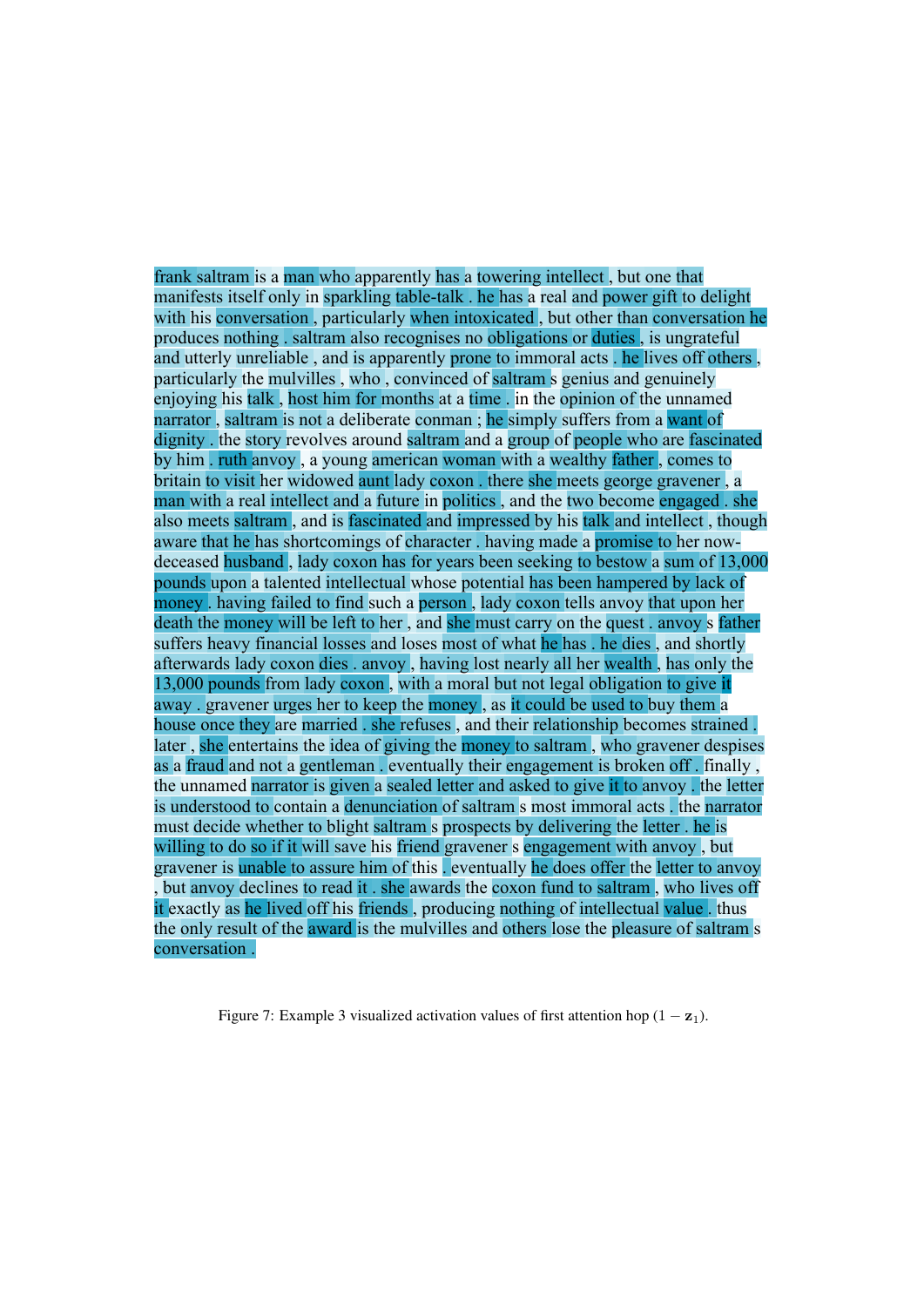frank saltram is a man who apparently has a towering intellect , but one that manifests itself only in sparkling table-talk . he has a real and power gift to delight with his conversation, particularly when intoxicated, but other than conversation he produces nothing . saltram also recognises no obligations or duties , is ungrateful and utterly unreliable , and is apparently prone to immoral acts . he lives off others , particularly the mulvilles , who , convinced of saltram s genius and genuinely enjoying his talk , host him for months at a time . in the opinion of the unnamed narrator, saltram is not a deliberate conman; he simply suffers from a want of dignity . the story revolves around saltram and a group of people who are fascinated by him . ruth anvoy , a young american woman with a wealthy father , comes to britain to visit her widowed aunt lady coxon . there she meets george gravener , a man with a real intellect and a future in politics , and the two become engaged . she also meets saltram , and is fascinated and impressed by his talk and intellect , though aware that he has shortcomings of character . having made a promise to her nowdeceased husband , lady coxon has for years been seeking to bestow a sum of 13,000 pounds upon a talented intellectual whose potential has been hampered by lack of money . having failed to find such a person , lady coxon tells anvoy that upon her death the money will be left to her , and she must carry on the quest . anvoy s father suffers heavy financial losses and loses most of what he has . he dies , and shortly afterwards lady coxon dies . anvoy , having lost nearly all her wealth , has only the 13,000 pounds from lady coxon , with a moral but not legal obligation to give it away . gravener urges her to keep the money , as it could be used to buy them a house once they are married . she refuses , and their relationship becomes strained . later , she entertains the idea of giving the money to saltram , who gravener despises as a fraud and not a gentleman . eventually their engagement is broken off . finally , the unnamed narrator is given a sealed letter and asked to give it to anvoy . the letter is understood to contain a denunciation of saltram s most immoral acts . the narrator must decide whether to blight saltram s prospects by delivering the letter . he is willing to do so if it will save his friend gravener s engagement with anvoy, but gravener is unable to assure him of this . eventually he does offer the letter to anvoy , but anvoy declines to read it . she awards the coxon fund to saltram , who lives off it exactly as he lived off his friends , producing nothing of intellectual value . thus the only result of the award is the mulvilles and others lose the pleasure of saltram s conversation .

Figure 7: Example 3 visualized activation values of first attention hop  $(1 - z_1)$ .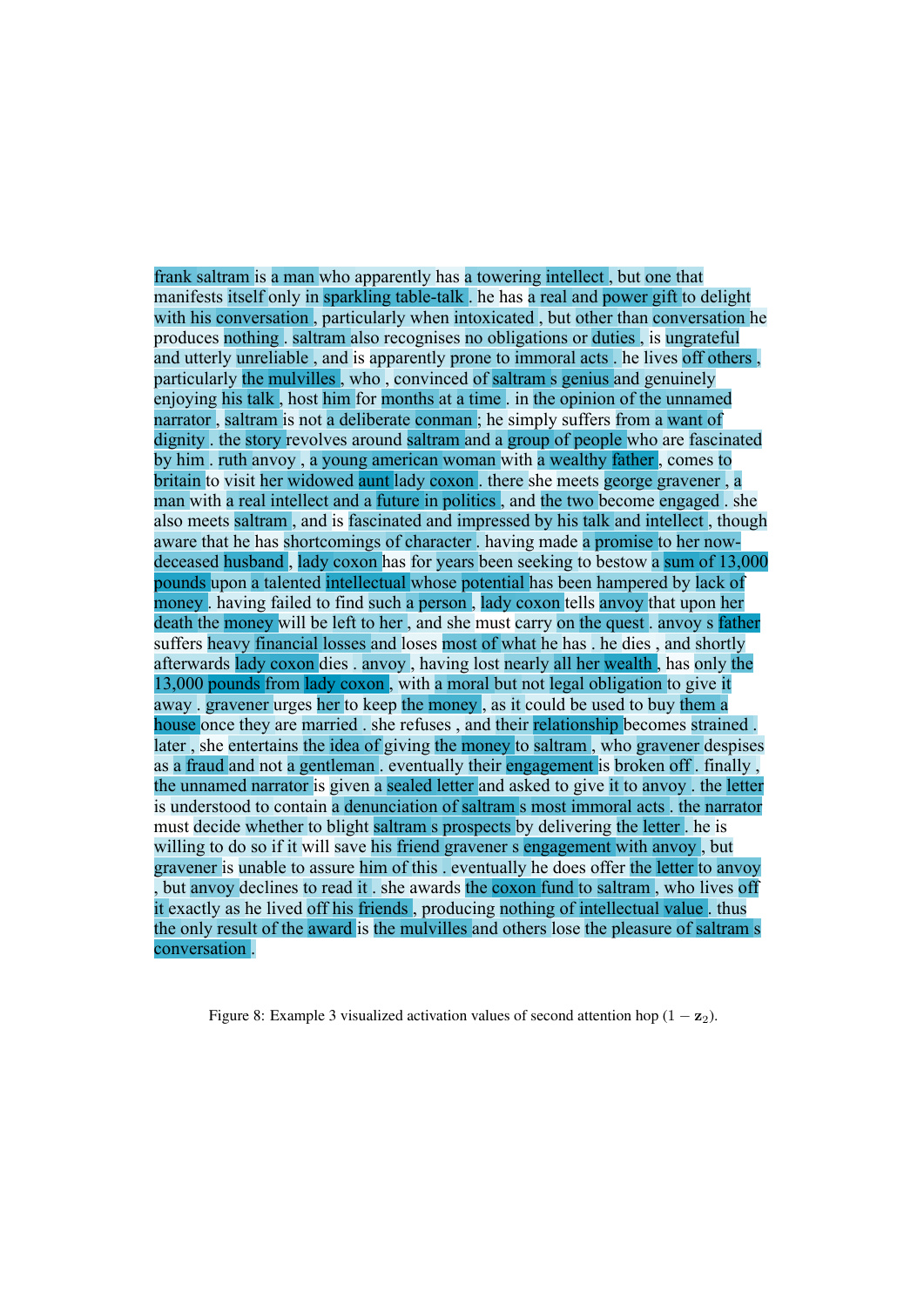frank saltram is a man who apparently has a towering intellect , but one that manifests itself only in sparkling table-talk . he has a real and power gift to delight with his conversation, particularly when intoxicated, but other than conversation he produces nothing . saltram also recognises no obligations or duties , is ungrateful and utterly unreliable , and is apparently prone to immoral acts . he lives off others , particularly the mulvilles , who , convinced of saltram s genius and genuinely enjoying his talk , host him for months at a time . in the opinion of the unnamed narrator , saltram is not a deliberate conman ; he simply suffers from a want of dignity . the story revolves around saltram and a group of people who are fascinated by him . ruth anvoy , a young american woman with a wealthy father , comes to britain to visit her widowed aunt lady coxon . there she meets george gravener , a man with a real intellect and a future in politics , and the two become engaged . she also meets saltram , and is fascinated and impressed by his talk and intellect , though aware that he has shortcomings of character . having made a promise to her nowdeceased husband , lady coxon has for years been seeking to bestow a sum of 13,000 pounds upon a talented intellectual whose potential has been hampered by lack of money . having failed to find such a person , lady coxon tells anvoy that upon her death the money will be left to her , and she must carry on the quest . anvoy s father suffers heavy financial losses and loses most of what he has . he dies , and shortly afterwards lady coxon dies . anvoy , having lost nearly all her wealth , has only the 13,000 pounds from lady coxon , with a moral but not legal obligation to give it away . gravener urges her to keep the money , as it could be used to buy them a house once they are married . she refuses , and their relationship becomes strained . later , she entertains the idea of giving the money to saltram , who gravener despises as a fraud and not a gentleman . eventually their engagement is broken off . finally , the unnamed narrator is given a sealed letter and asked to give it to anvoy . the letter is understood to contain a denunciation of saltram s most immoral acts . the narrator must decide whether to blight saltram s prospects by delivering the letter . he is willing to do so if it will save his friend gravener s engagement with anvoy, but gravener is unable to assure him of this . eventually he does offer the letter to anvoy but anyoy declines to read it , she awards the coxon fund to saltram, who lives off it exactly as he lived off his friends , producing nothing of intellectual value . thus the only result of the award is the mulvilles and others lose the pleasure of saltram s conversation .

Figure 8: Example 3 visualized activation values of second attention hop  $(1 - z_2)$ .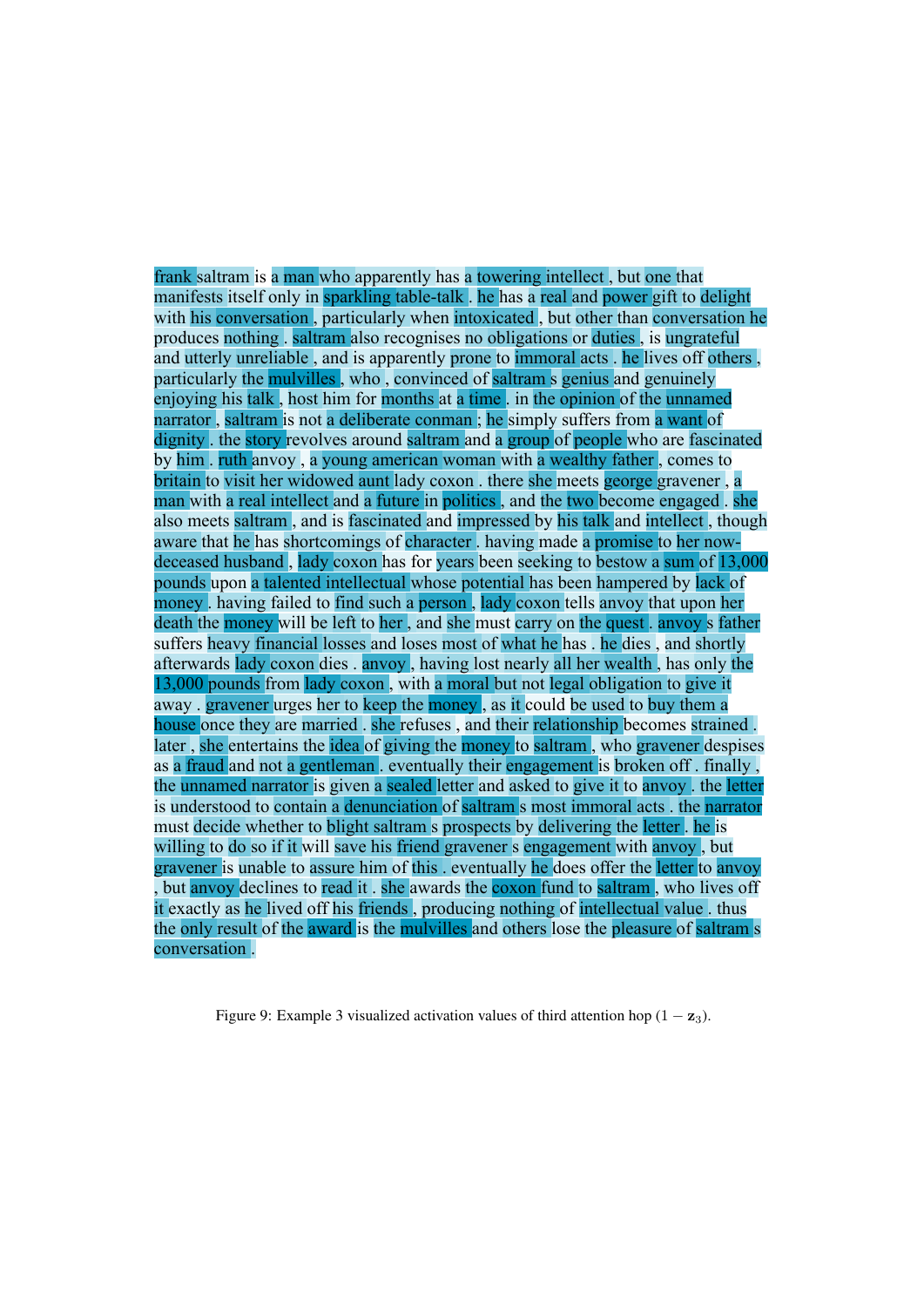frank saltram is a man who apparently has a towering intellect , but one that manifests itself only in sparkling table-talk . he has a real and power gift to delight with his conversation, particularly when intoxicated, but other than conversation he produces nothing . saltram also recognises no obligations or duties , is ungrateful and utterly unreliable , and is apparently prone to immoral acts . he lives off others , particularly the mulvilles , who , convinced of saltram s genius and genuinely enjoying his talk , host him for months at a time . in the opinion of the unnamed narrator , saltram is not a deliberate conman ; he simply suffers from a want of dignity . the story revolves around saltram and a group of people who are fascinated by him . ruth anvoy , a young american woman with a wealthy father , comes to britain to visit her widowed aunt lady coxon . there she meets george gravener , a man with a real intellect and a future in politics , and the two become engaged . she also meets saltram , and is fascinated and impressed by his talk and intellect , though aware that he has shortcomings of character . having made a promise to her nowdeceased husband , lady coxon has for years been seeking to bestow a sum of 13,000 pounds upon a talented intellectual whose potential has been hampered by lack of money . having failed to find such a person , lady coxon tells anvoy that upon her death the money will be left to her , and she must carry on the quest . anvoy s father suffers heavy financial losses and loses most of what he has . he dies , and shortly afterwards lady coxon dies . anvoy , having lost nearly all her wealth , has only the 13,000 pounds from lady coxon , with a moral but not legal obligation to give it away . gravener urges her to keep the money , as it could be used to buy them a house once they are married . she refuses , and their relationship becomes strained . later , she entertains the idea of giving the money to saltram , who gravener despises as a fraud and not a gentleman . eventually their engagement is broken off . finally , the unnamed narrator is given a sealed letter and asked to give it to anvoy . the letter is understood to contain a denunciation of saltram s most immoral acts . the narrator must decide whether to blight saltram s prospects by delivering the letter . he is willing to do so if it will save his friend gravener s engagement with anyoy, but gravener is unable to assure him of this . eventually he does offer the letter to anvoy but anyov declines to read it , she awards the coxon fund to saltram, who lives off it exactly as he lived off his friends , producing nothing of intellectual value . thus the only result of the award is the mulvilles and others lose the pleasure of saltram s conversation .

Figure 9: Example 3 visualized activation values of third attention hop  $(1 - z_3)$ .